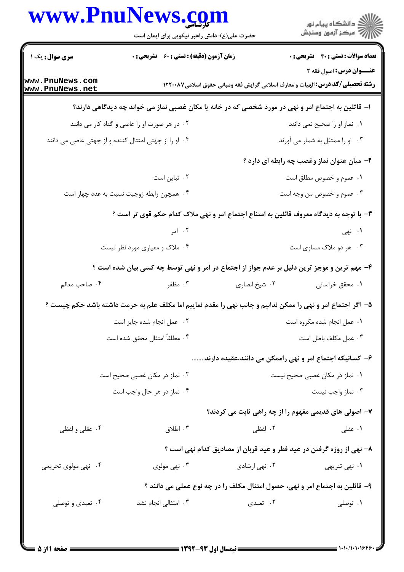## www.PnuNews.com

|                                    | www.PnuNews.com<br>حضرت علی(ع): دانش راهبر نیکویی برای ایمان است                                            |               | ر<br>اگر دانشگاه پيام نور<br>اگر مرکز آزمون وسنڊش                                                                |
|------------------------------------|-------------------------------------------------------------------------------------------------------------|---------------|------------------------------------------------------------------------------------------------------------------|
| <b>سری سوال :</b> یک ۱             | <b>زمان آزمون (دقیقه) : تستی : 60 ٪ تشریحی : 0</b>                                                          |               | <b>تعداد سوالات : تستی : 40 - تشریحی : 0</b>                                                                     |
| www.PnuNews.com<br>www.PnuNews.net |                                                                                                             |               | عنــوان درس: اصول فقه ٢<br><b>رشته تحصیلی/کد درس: ا</b> لهیات و معارف اسلامی گرایش فقه ومبانی حقوق اسلامی۱۲۲۰۰۸۷ |
|                                    | ا– قاثلین به اجتماع امر و نهی در مورد شخصی که در خانه یا مکان غصبی نماز می خواند چه دیدگاهی دارند؟          |               |                                                                                                                  |
|                                    | ۰۲ در هر صورت او را عاصی و گناه کار می دانند                                                                |               | ٠١. نماز او را صحيح نمي دانند                                                                                    |
|                                    | ۰۴ او را از جهتی امتثال کننده و از جهتی عاصی می دانند                                                       |               | ۰۳ او را ممتثل به شمار می آورند                                                                                  |
|                                    |                                                                                                             |               | ۲- میان عنوان نماز وغصب چه رابطه ای دارد ؟                                                                       |
|                                    | ۰۲ تباین است                                                                                                |               | ۰۱ عموم و خصوص مطلق است                                                                                          |
|                                    | ۰۴ همچون رابطه زوجیت نسبت به عدد چهار است                                                                   |               | ۰۳ عموم و خصوص من وجه است                                                                                        |
|                                    | ۳- با توجه به دیدگاه معروف قائلین به امتناع اجتماع امر و نهی ملاک کدام حکم قوی تر است ؟                     |               |                                                                                                                  |
|                                    | ۰۲ امر                                                                                                      |               | ۰۱ نهی                                                                                                           |
|                                    | ۰۴ ملاک و معیاری مورد نظر نیست                                                                              |               | ۰۳ هر دو ملاک مساوی است                                                                                          |
|                                    | ۴- مهم ترین و موجز ترین دلیل بر عدم جواز از اجتماع در امر و نهی توسط چه کسی بیان شده است ؟                  |               |                                                                                                                  |
| ۰۴ صاحب معالم                      | ۰۳ مظفر                                                                                                     | ۰۲ شیخ انصاری | ۰۱ محقق خراسانی                                                                                                  |
|                                    | ۵− اگر اجتماع امر و نهی را ممکن ندانیم و جانب نهی را مقدم نماییم اما مکلف علم به حرمت داشته باشد حکم چیست ؟ |               |                                                                                                                  |
|                                    | ٠٢ عمل انجام شده جايز است                                                                                   |               | ٠١ عمل انجام شده مكروه است                                                                                       |
|                                    | ۰۴ مطلقاً امتثال محقق شده است                                                                               |               | ۰۳ عمل مكلف باطل است                                                                                             |
|                                    |                                                                                                             |               | ۶– کسانیکه اجتماع امر و نهی راممکن می دانند،عقیده دارند                                                          |
|                                    | ۰۲ نماز در مکان غصبی صحیح است                                                                               |               | ۰۱ نماز در مکان غصبی صحیح نیست                                                                                   |
|                                    | ۰۴ نماز در هر حال واجب است                                                                                  |               | ۰۳ نماز واجب نيست                                                                                                |
|                                    |                                                                                                             |               | ۷- اصولی های قدیمی مفهوم را از چه راهی ثابت می کردند؟                                                            |
| ۰۴ عقلی و لفظی                     | ۰۳ اطلاق                                                                                                    | ۰۲ لفظی       | ۰۱ عقلی                                                                                                          |
|                                    |                                                                                                             |               |                                                                                                                  |
| ۰۴ نهی مولوی تحریمی                | ۰۳ نهي مولوي                                                                                                | ۰۲ نهي ارشادي | ۸– نهی از روزه گرفتن در عید فطر و عید قربان از مصادیق کدام نهی است ؟<br>۰۱ نهی تنریهی                            |
|                                    |                                                                                                             |               |                                                                                                                  |
|                                    | ۹- قائلین به اجتماع امر و نهی، حصول امتثال مکلف را در چه نوع عملی می دانند ؟                                |               |                                                                                                                  |
| ۰۴ تعبدی و توصلی                   | ۰۳ امتثال <sub>ی</sub> انجام نشد                                                                            | ۰۲ تعبدی      | ۰۱ توصلی                                                                                                         |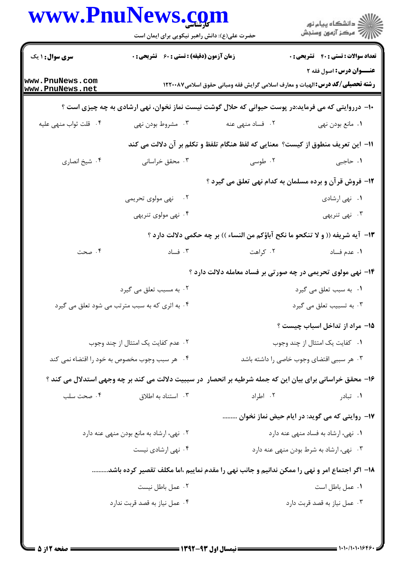|                                          | www.rnurews.com<br>حضرت علی(ع): دانش راهبر نیکویی برای ایمان است                                           |                                                                                 | ڪ دانشڪاه پيام نور<br>پ <sup>ر</sup> مرڪز آزمون وسنجش                                                                    |  |  |
|------------------------------------------|------------------------------------------------------------------------------------------------------------|---------------------------------------------------------------------------------|--------------------------------------------------------------------------------------------------------------------------|--|--|
| <b>سری سوال : ۱ یک</b>                   | زمان آزمون (دقیقه) : تستی : ۶۰٪ تشریحی : ۰                                                                 |                                                                                 | <b>تعداد سوالات : تستی : 40 ٪ تشریحی : 0</b>                                                                             |  |  |
| www.PnuNews.com<br>www.PnuNews.net       |                                                                                                            |                                                                                 | <b>عنـــوان درس:</b> اصول فقه ۲<br><b>رشته تحصیلی/کد درس: ا</b> لهیات و معارف اسلامی گرایش فقه ومبانی حقوق اسلامی۱۲۲۰۰۸۷ |  |  |
|                                          | ∙ا− درروایتی که می فرماید:در پوست حیوانی که حلال گوشت نیست نماز نخوان، نهی ارشادی به چه چیزی است ؟         |                                                                                 |                                                                                                                          |  |  |
| ۰۴ قلت ثواب منهى عليه                    | ۰۳ مشروط بودن نهي                                                                                          | ۰۲ فساد منهی عنه                                                                | ٠١ مانع بودن نهي                                                                                                         |  |  |
|                                          |                                                                                                            | اا− این تعریف منطوق از کیست؟ معنایی که لفظ هنگام تلفظ و تکلم بر آن دلالت می کند |                                                                                                                          |  |  |
| ۰۴ شیخ انصاری                            | ۰۳ محقق خراسانی                                                                                            | ۰۲ طوسی                                                                         | ۱. حاجبی                                                                                                                 |  |  |
|                                          |                                                                                                            | ۱۲- فروش قرآن و برده مسلمان به کدام نهی تعلق می گیرد ؟                          |                                                                                                                          |  |  |
|                                          | ۲. نهی مولوی تحریمی                                                                                        |                                                                                 | ۰۱ نهی ارشادی                                                                                                            |  |  |
|                                          | ۰۴ نهی مولوی تنریهی                                                                                        |                                                                                 | ۰۳ نهی تنریهی                                                                                                            |  |  |
|                                          |                                                                                                            | ١٣- آيه شريفه (( و لا تنكحو ما نكح آباؤكم من النساء )) بر چه حكمي دلالت دارد ؟  |                                                                                                                          |  |  |
| ۰۴ صحت                                   | ۰۳ فساد                                                                                                    | ۰۲ کراهت                                                                        | ٠١ عدم فساد                                                                                                              |  |  |
|                                          |                                                                                                            | ۱۴- نهی مولوی تحریمی در چه صورتی بر فساد معامله دلالت دارد ؟                    |                                                                                                                          |  |  |
|                                          | ۰۲ به مسبب تعلق می گیرد                                                                                    |                                                                                 | ۰۱ به سبب تعلق می گیرد                                                                                                   |  |  |
|                                          | ۰۴ به اثری که به سبب مترتب می شود تعلق می گیرد                                                             |                                                                                 | ۰۳ به تسبیب تعلق می گیرد                                                                                                 |  |  |
|                                          |                                                                                                            |                                                                                 | ۱۵– مراد از تداخل اسباب چیست ؟                                                                                           |  |  |
|                                          | ۰۲ عدم کفایت یک امتثال از چند وجوب                                                                         |                                                                                 | ۰۱ کفایت یک امتثال از چند وجوب                                                                                           |  |  |
|                                          | ۰۴ هر سبب وجوب مخصوص به خود را اقتضاء نمی کند                                                              |                                                                                 | ۰۳ هر سببی اقتضای وجوب خاصی را داشته باشد                                                                                |  |  |
|                                          | ۱۶- محقق خراسانی برای بیان این که جمله شرطیه بر انحصار ً در سببیت دلالت می کند بر چه وجهی استدلال می کند ؟ |                                                                                 |                                                                                                                          |  |  |
| ۰۴ صحت سلب                               | ۰۳ استناد به اطلاق                                                                                         | ۰۲ اطراد                                                                        | ۰۱ تبادر                                                                                                                 |  |  |
|                                          |                                                                                                            |                                                                                 | 17- روایتی که می گوید: در ایام حیض نماز نخوان                                                                            |  |  |
| ۰۲ نهی، ارشاد به مانع بودن منهی عنه دارد |                                                                                                            |                                                                                 | ۰۱ نهی، ارشاد به فساد منهی عنه دارد                                                                                      |  |  |
| ۰۴ نهی ارشادی نیست                       |                                                                                                            |                                                                                 | ۰۳ نهي، ارشاد به شرط بودن منهي عنه دارد                                                                                  |  |  |
|                                          | ۱۸− اگر اجتماع امر و نهی را ممکن ندانیم و جانب نهی را مقدم نماییم ،اما مکلف تقصیر کرده باشد                |                                                                                 |                                                                                                                          |  |  |
|                                          | ۰۲ عمل باطل نیست                                                                                           |                                                                                 | ٠١ عمل باطل است                                                                                                          |  |  |
|                                          | ۰۴ عمل نیاز به قصد قربت ندارد                                                                              |                                                                                 | ۰۳ عمل نیاز به قصد قربت دارد                                                                                             |  |  |
|                                          |                                                                                                            |                                                                                 |                                                                                                                          |  |  |

 $\blacksquare$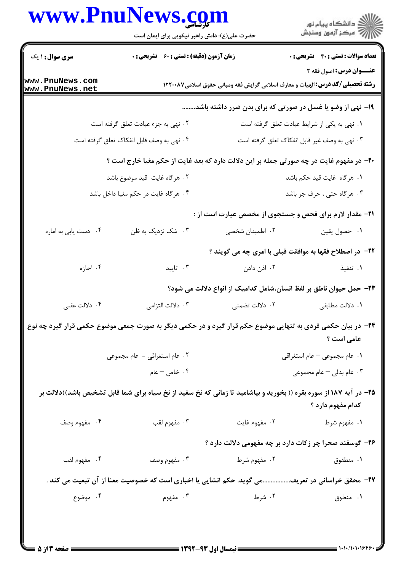## **WWW PnuNews com**

|                                  | www.PnuNews.com<br>حضرت علی(ع): دانش راهبر نیکویی برای ایمان است                                                   |                            | ر<br>دانشڪاه پيام نور)<br>ا∛ مرڪز آزمون وسنڊش                                                                           |  |
|----------------------------------|--------------------------------------------------------------------------------------------------------------------|----------------------------|-------------------------------------------------------------------------------------------------------------------------|--|
| <b>سری سوال : ۱ یک</b>           | <b>زمان آزمون (دقیقه) : تستی : 60 ٪ تشریحی : 0</b>                                                                 |                            | <b>تعداد سوالات : تستی : 40 - تشریحی : 0</b>                                                                            |  |
| ww.PnuNews.com<br>ww.PnuNews.net |                                                                                                                    |                            | <b>عنــوان درس:</b> اصول فقه ۲<br><b>رشته تحصیلی/کد درس: ا</b> لهیات و معارف اسلامی گرایش فقه ومبانی حقوق اسلامی۱۲۲۰۰۸۷ |  |
|                                  |                                                                                                                    |                            | ۱۹- نهی از وضو یا غسل در صورتی که برای بدن ضرر داشته باشد.                                                              |  |
|                                  | ٠٢ نهي به جزء عبادت تعلق گرفته است                                                                                 |                            | ۰۱ نهی به یکی از شرایط عبادت تعلق گرفته است                                                                             |  |
|                                  | ۰۴ نهی به وصف قابل انفکاک تعلق گرفته است                                                                           |                            | ۰۳ نهی به وصف غیر قابل انفکاک تعلق گرفته است                                                                            |  |
|                                  | +۲- در مفهوم غایت در چه صورتی جمله بر این دلالت دارد که بعد غایت از حکم مغیا خارج است ؟                            |                            |                                                                                                                         |  |
| ٢. هرگاه غايت قيد موضوع باشد     |                                                                                                                    | ٠١ هرگاه غايت قيد حكم باشد |                                                                                                                         |  |
|                                  | ۰۴ هرگاه غايت در حكم مغيا داخل باشد                                                                                |                            | ۰۳ هرگاه حتی ، حرف جر باشد                                                                                              |  |
|                                  |                                                                                                                    |                            | <b>۲۱</b> - مقدار لازم برای فحص و جستجوی از مخصص عبارت است از :                                                         |  |
| ۰۴ دست یابی به اماره             | ۰۳ شک نزدیک به ظن                                                                                                  | ۰۲ اطمینان شخصی            | ٠١ حصول يقين                                                                                                            |  |
|                                  |                                                                                                                    |                            | <b>۲۲</b> - در اصطلاح فقها به موافقت قبلی با امری چه می گویند ؟                                                         |  |
| ۰۴ اجازه                         | ۰۳ تاييد                                                                                                           | ۰۲ اذن دادن                | ۰۱ تنفیذ                                                                                                                |  |
|                                  |                                                                                                                    |                            | ۲۳– حمل حیوان ناطق بر لفظ انسان،شامل کدامیک از انواع دلالت می شود؟                                                      |  |
| ۰۴ دلالت عقلی                    |                                                                                                                    |                            |                                                                                                                         |  |
|                                  | ۲۴- در بیان حکمی فردی به تنهایی موضوع حکم قرار گیرد و در حکمی دیگر به صورت جمعی موضوع حکمی قرار گیرد چه نوع        |                            | عامی است ؟                                                                                                              |  |
|                                  | ۰۲ عام استغراقی - عام مجموعی                                                                                       |                            | ۰۱ عام مجموعی – عام استغراقی                                                                                            |  |
|                                  | ۰۴ خاص – عام                                                                                                       |                            | ا عام بدلی $-$ عام مجموعی $\cdot$ ۳                                                                                     |  |
|                                  | ۲۵- در آیه ۱۸۷ از سوره بقره (( بخورید و بیاشامید تا زمانی که نخ سفید از نخ سیاه برای شما قابل تشخیص باشد))دلالت بر |                            | کدام مفهوم دارد ؟                                                                                                       |  |
| ۰۴ مفهوم وصف                     | ۰۳ مفهوم لقب                                                                                                       | ۰۲ مفهوم غايت              | ۰۱ مفهوم شرط                                                                                                            |  |
|                                  |                                                                                                                    |                            | ۲۶- گوسفند صحرا چر زکات دارد بر چه مفهومی دلالت دارد ؟                                                                  |  |
| ۰۴ مفهوم لقب                     | ۰۳ مفهوم وصف                                                                                                       | ۰۲ مفهوم شرط               | ۰۱ منطقوق                                                                                                               |  |
|                                  | <b>۲۷</b> - محقق خراسانی در تعریف و گوید. حکم انشایی یا اخباری است که خصوصیت معنا از آن تبعیت می کند .             |                            |                                                                                                                         |  |
| ۰۴ موضوع                         | ۰۳ مفهوم                                                                                                           | ۰۲ شرط                     | ۰۱ منطوق                                                                                                                |  |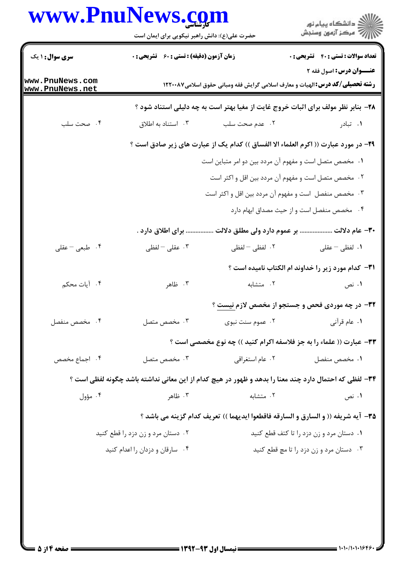## www.PnuNews.com

|                                    | www.PnuNews.com<br>حضرت علی(ع): دانش راهبر نیکویی برای ایمان است |                  | ر<br>دانشڪاه پيام نور<br>ا∛ مرڪز آزمون وسنڊش                                                          |
|------------------------------------|------------------------------------------------------------------|------------------|-------------------------------------------------------------------------------------------------------|
| <b>سری سوال : ۱ یک</b>             | <b>زمان آزمون (دقیقه) : تستی : 60 ٪ تشریحی : 0</b>               |                  | <b>تعداد سوالات : تستی : 40 - تشریحی : 0</b><br><b>عنــوان درس:</b> اصول فقه ۲                        |
| www.PnuNews.com<br>www.PnuNews.net |                                                                  |                  | <b>رشته تحصیلی/کد درس: ا</b> لهیات و معارف اسلامی گرایش فقه ومبانی حقوق اسلامی۱۲۲۰۰۸۷                 |
|                                    |                                                                  |                  | ۲۸- بنابر نظر مولف برای اثبات خروج غایت از مغیا بهتر است به چه دلیلی استناد شود ؟                     |
| ۰۴ صحت سلب                         | ۰۳ استناد به اطلاق                                               | ۰۲ عدم صحت سلب   | ۰۱ تبادر                                                                                              |
|                                    |                                                                  |                  | ۲۹- در مورد عبارت (( اکرم العلماء الا الفساق )) کدام یک از عبارت های زیر صادق است ؟                   |
|                                    |                                                                  |                  | ۰۱ مخصص متصل است و مفهوم آن مردد بین دو امر متباین است                                                |
|                                    |                                                                  |                  | ۰۲ مخصص متصل است و مفهوم آن مردد بین اقل و اکثر است                                                   |
|                                    |                                                                  |                  | ۰۳ مخصص منفصل است و مفهوم آن مردد بین اقل و اکثر است                                                  |
|                                    |                                                                  |                  | ۰۴ مخصص منفصل است و از حیث مصداق ابهام دارد                                                           |
|                                    | برای اطلاق دارد .                                                |                  | ۳۰– عام دلالت  بر عموم دارد ولی مطلق دلالت                                                            |
| ۰۴ طبعی – عقلی                     | تا عقلی $-$ لفظی $\cdot$                                         | ٢. لفظى – لفظى   | ۰۱ لفظی – عقلی                                                                                        |
|                                    |                                                                  |                  | <b>٣١</b> - كدام مورد زير را خداوند ام الكتاب ناميده است ؟                                            |
| ۰۴ آیات محکم                       | ۰۳ ظاهر                                                          | ۰۲ متشابه        | ۰۱ نص                                                                                                 |
|                                    |                                                                  |                  | در چه موردی فحص و جستجو از مخصص لازم نیست ؟                                                           |
| ۰۴ مخصص منفصل                      | ۰۳ مخصص متصل                                                     | ۰۲ عموم سنت نبوی | ۰۱ عام قرآنی                                                                                          |
|                                    |                                                                  |                  | ٣٣- عبارت (( علماء را به جز فلاسفه اكرام كنيد )) چه نوع مخصصي است ؟                                   |
| ۰۴ اجماع مخصص                      | ۰۳ مخصص متصل                                                     | ۰۲ عام استغراقی  | ۰۱ مخصص منفصل                                                                                         |
|                                    |                                                                  |                  | ۳۴– لفظی که احتمال دارد چند معنا را بدهد و ظهور در هیچ کدام از این معانی نداشته باشد چگونه لفظی است ؟ |
| ۰۴ مؤول                            | ۰۳ ظاهر                                                          | ۰۲ متشابه        | ۰۱ نص                                                                                                 |
|                                    |                                                                  |                  | 88- آيه شريفه (( و السارق و السارقه فاقطعوا ايديهما )) تعريف كدام گزينه مي باشد ؟                     |
|                                    | ۰۲ دستان مرد و زن دزد را قطع کنید                                |                  | ۰۱ دستان مرد و زن دزد را تا کتف قطع کنید                                                              |
|                                    | ۰۴ سارقان و دزدان را اعدام کنید                                  |                  | ۰۳ دستان مرد و زن دزد را تا مچ قطع کنید                                                               |